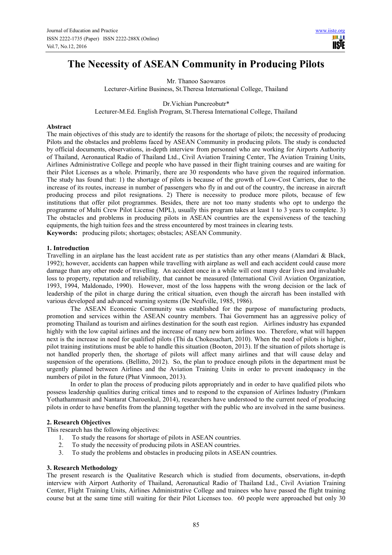# **The Necessity of ASEAN Community in Producing Pilots**

Mr. Thanoo Saowaros Lecturer-Airline Business, St.Theresa International College, Thailand

Dr.Vichian Puncreobutr\* Lecturer-M.Ed. English Program, St.Theresa International College, Thailand

### **Abstract**

The main objectives of this study are to identify the reasons for the shortage of pilots; the necessity of producing Pilots and the obstacles and problems faced by ASEAN Community in producing pilots. The study is conducted by official documents, observations, in-depth interview from personnel who are working for Airports Authority of Thailand, Aeronautical Radio of Thailand Ltd., Civil Aviation Training Center, The Aviation Training Units, Airlines Administrative College and people who have passed in their flight training courses and are waiting for their Pilot Licenses as a whole. Primarily, there are 30 respondents who have given the required information. The study has found that: 1) the shortage of pilots is because of the growth of Low-Cost Carriers, due to the increase of its routes, increase in number of passengers who fly in and out of the country, the increase in aircraft producing process and pilot resignations. 2) There is necessity to produce more pilots, because of few institutions that offer pilot programmes. Besides, there are not too many students who opt to undergo the programme of Multi Crew Pilot License (MPL), usually this program takes at least 1 to 3 years to complete. 3) The obstacles and problems in producing pilots in ASEAN countries are the expensiveness of the teaching equipments, the high tuition fees and the stress encountered by most trainees in clearing tests. **Keywords:** producing pilots; shortages; obstacles; ASEAN Community.

### **1. Introduction**

Travelling in an airplane has the least accident rate as per statistics than any other means (Alamdari & Black, 1992); however, accidents can happen while travelling with airplane as well and each accident could cause more damage than any other mode of travelling. An accident once in a while will cost many dear lives and invaluable loss to property, reputation and reliability, that cannot be measured (International Civil Aviation Organization, 1993, 1994, Maldonado, 1990). However, most of the loss happens with the wrong decision or the lack of leadership of the pilot in charge during the critical situation, even though the aircraft has been installed with various developed and advanced warning systems (De Neufville, 1985, 1986).

The ASEAN Economic Community was established for the purpose of manufacturing products, promotion and services within the ASEAN country members. Thai Government has an aggressive policy of promoting Thailand as tourism and airlines destination for the south east region. Airlines industry has expanded highly with the low capital airlines and the increase of many new born airlines too. Therefore, what will happen next is the increase in need for qualified pilots (Thi da Chokesuchart, 2010). When the need of pilots is higher, pilot training institutions must be able to handle this situation (Booton, 2013). If the situation of pilots shortage is not handled properly then, the shortage of pilots will affect many airlines and that will cause delay and suspension of the operations. (Bellitto, 2012). So, the plan to produce enough pilots in the department must be urgently planned between Airlines and the Aviation Training Units in order to prevent inadequacy in the numbers of pilot in the future (Phat Vinmoon, 2013).

In order to plan the process of producing pilots appropriately and in order to have qualified pilots who possess leadership qualities during critical times and to respond to the expansion of Airlines Industry (Pimkarn Yothathammasit and Nantarat Charoenkul, 2014), researchers have understood to the current need of producing pilots in order to have benefits from the planning together with the public who are involved in the same business.

## **2. Research Objectives**

This research has the following objectives:

- 1. To study the reasons for shortage of pilots in ASEAN countries.
- 2. To study the necessity of producing pilots in ASEAN countries.
- 3. To study the problems and obstacles in producing pilots in ASEAN countries.

#### **3. Research Methodology**

The present research is the Qualitative Research which is studied from documents, observations, in-depth interview with Airport Authority of Thailand, Aeronautical Radio of Thailand Ltd., Civil Aviation Training Center, Flight Training Units, Airlines Administrative College and trainees who have passed the flight training course but at the same time still waiting for their Pilot Licenses too. 60 people were approached but only 30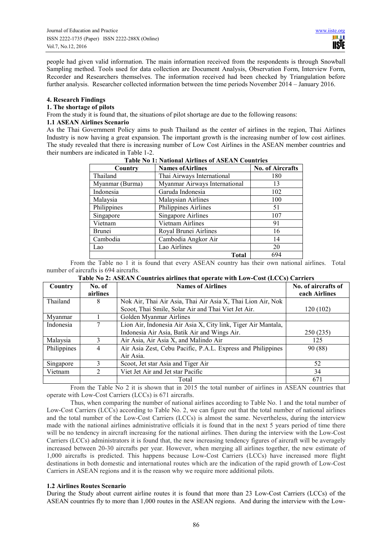people had given valid information. The main information received from the respondents is through Snowball Sampling method. Tools used for data collection are Document Analysis, Observation Form, Interview Form, Recorder and Researchers themselves. The information received had been checked by Triangulation before further analysis. Researcher collected information between the time periods November 2014 – January 2016.

### **4. Research Findings**

### **1. The shortage of pilots**

From the study it is found that, the situations of pilot shortage are due to the following reasons:

## **1.1 ASEAN Airlines Scenario**

As the Thai Government Policy aims to push Thailand as the center of airlines in the region, Thai Airlines Industry is now having a great expansion. The important growth is the increasing number of low cost airlines. The study revealed that there is increasing number of Low Cost Airlines in the ASEAN member countries and their numbers are indicated in Table 1-2.

| Table TV 1. IN all that All three of ASEAN Countries |                               |                         |  |
|------------------------------------------------------|-------------------------------|-------------------------|--|
| Country                                              | <b>Names of Airlines</b>      | <b>No. of Aircrafts</b> |  |
| Thailand                                             | Thai Airways International    | 180                     |  |
| Myanmar (Burma)                                      | Myanmar Airways International | 13                      |  |
| Indonesia                                            | Garuda Indonesia              | 102                     |  |
| Malaysia                                             | Malaysian Airlines            | 100                     |  |
| Philippines                                          | Philippines Airlines          | 51                      |  |
| Singapore                                            | <b>Singapore Airlines</b>     | 107                     |  |
| Vietnam                                              | Vietnam Airlines              | 91                      |  |
| <b>Brunei</b>                                        | Royal Brunei Airlines         | 16                      |  |
| Cambodia                                             | Cambodia Angkor Air           | 14                      |  |
| Lao                                                  | Lao Airlines                  | 20                      |  |
|                                                      | Total                         | 694                     |  |

## **Table No 1: National Airlines of ASEAN Countries**

From the Table no 1 it is found that every ASEAN country has their own national airlines. Total number of aircrafts is 694 aircrafts.

# **Table No 2: ASEAN Countries airlines that operate with Low-Cost (LCCs) Carriers**

| Country     | No. of<br>airlines | <b>Names of Airlines</b>                                      | No. of aircrafts of<br>each Airlines |
|-------------|--------------------|---------------------------------------------------------------|--------------------------------------|
|             |                    |                                                               |                                      |
| Thailand    | 8                  | Nok Air, Thai Air Asia, Thai Air Asia X, Thai Lion Air, Nok   |                                      |
|             |                    | Scoot, Thai Smile, Solar Air and Thai Viet Jet Air.           | 120 (102)                            |
| Myanmar     |                    | Golden Myanmar Airlines                                       |                                      |
| Indonesia   |                    | Lion Air, Indonesia Air Asia X, City link, Tiger Air Mantala, |                                      |
|             |                    | Indonesia Air Asia, Batik Air and Wings Air.                  | 250 (235)                            |
| Malaysia    |                    | Air Asia, Air Asia X, and Malindo Air                         | 125                                  |
| Philippines | 4                  | Air Asia Zest, Cebu Pacific, P.A.L. Express and Philippines   | 90 (88)                              |
|             |                    | Air Asia.                                                     |                                      |
| Singapore   |                    | Scoot, Jet star Asia and Tiger Air                            | 52                                   |
| Vietnam     |                    | Viet Jet Air and Jet star Pacific                             | 34                                   |
|             |                    | Total                                                         | 671                                  |

From the Table No 2 it is shown that in 2015 the total number of airlines in ASEAN countries that operate with Low-Cost Carriers (LCCs) is 671 aircrafts.

Thus, when comparing the number of national airlines according to Table No. 1 and the total number of Low-Cost Carriers (LCCs) according to Table No. 2, we can figure out that the total number of national airlines and the total number of the Low-Cost Carriers (LCCs) is almost the same. Nevertheless, during the interview made with the national airlines administrative officials it is found that in the next 5 years period of time there will be no tendency in aircraft increasing for the national airlines. Then during the interview with the Low-Cost Carriers (LCCs) administrators it is found that, the new increasing tendency figures of aircraft will be averagely increased between 20-30 aircrafts per year. However, when merging all airlines together, the new estimate of 1,000 aircrafts is predicted. This happens because Low-Cost Carriers (LCCs) have increased more flight destinations in both domestic and international routes which are the indication of the rapid growth of Low-Cost Carriers in ASEAN regions and it is the reason why we require more additional pilots.

### **1.2 Airlines Routes Scenario**

During the Study about current airline routes it is found that more than 23 Low-Cost Carriers (LCCs) of the ASEAN countries fly to more than 1,000 routes in the ASEAN regions. And during the interview with the Low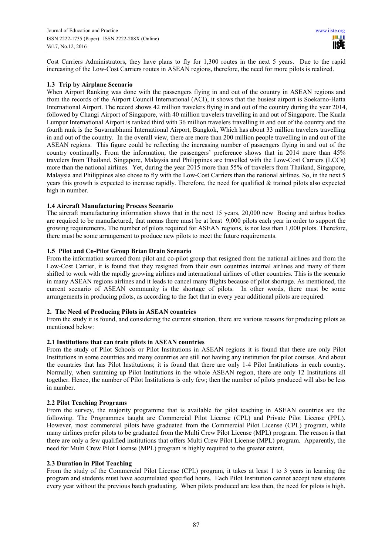Cost Carriers Administrators, they have plans to fly for 1,300 routes in the next 5 years. Due to the rapid increasing of the Low-Cost Carriers routes in ASEAN regions, therefore, the need for more pilots is realized.

## **1.3 Trip by Airplane Scenario**

When Airport Ranking was done with the passengers flying in and out of the country in ASEAN regions and from the records of the Airport Council International (ACI), it shows that the busiest airport is Soekarno-Hatta International Airport. The record shows 42 million travelers flying in and out of the country during the year 2014, followed by Changi Airport of Singapore, with 40 million travelers travelling in and out of Singapore. The Kuala Lumpur International Airport is ranked third with 36 million travelers travelling in and out of the country and the fourth rank is the Suvarnabhumi International Airport, Bangkok, Which has about 33 million travelers travelling in and out of the country. In the overall view, there are more than 200 million people travelling in and out of the ASEAN regions. This figure could be reflecting the increasing number of passengers flying in and out of the country continually. From the information, the passengers' preference shows that in 2014 more than 45% travelers from Thailand, Singapore, Malaysia and Philippines are travelled with the Low-Cost Carriers (LCCs) more than the national airlines. Yet, during the year 2015 more than 55% of travelers from Thailand, Singapore, Malaysia and Philippines also chose to fly with the Low-Cost Carriers than the national airlines. So, in the next 5 years this growth is expected to increase rapidly. Therefore, the need for qualified & trained pilots also expected high in number.

# **1.4 Aircraft Manufacturing Process Scenario**

The aircraft manufacturing information shows that in the next 15 years, 20,000 new Boeing and airbus bodies are required to be manufactured, that means there must be at least 9,000 pilots each year in order to support the growing requirements. The number of pilots required for ASEAN regions, is not less than 1,000 pilots. Therefore, there must be some arrangement to produce new pilots to meet the future requirements.

# **1.5 Pilot and Co-Pilot Group Brian Drain Scenario**

From the information sourced from pilot and co-pilot group that resigned from the national airlines and from the Low-Cost Carrier, it is found that they resigned from their own countries internal airlines and many of them shifted to work with the rapidly growing airlines and international airlines of other countries. This is the scenario in many ASEAN regions airlines and it leads to cancel many flights because of pilot shortage. As mentioned, the current scenario of ASEAN community is the shortage of pilots. In other words, there must be some arrangements in producing pilots, as according to the fact that in every year additional pilots are required.

### **2. The Need of Producing Pilots in ASEAN countries**

From the study it is found, and considering the current situation, there are various reasons for producing pilots as mentioned below:

# **2.1 Institutions that can train pilots in ASEAN countries**

From the study of Pilot Schools or Pilot Institutions in ASEAN regions it is found that there are only Pilot Institutions in some countries and many countries are still not having any institution for pilot courses. And about the countries that has Pilot Institutions; it is found that there are only 1-4 Pilot Institutions in each country. Normally, when summing up Pilot Institutions in the whole ASEAN region, there are only 12 Institutions all together. Hence, the number of Pilot Institutions is only few; then the number of pilots produced will also be less in number.

### **2.2 Pilot Teaching Programs**

From the survey, the majority programme that is available for pilot teaching in ASEAN countries are the following. The Programmes taught are Commercial Pilot License (CPL) and Private Pilot License (PPL). However, most commercial pilots have graduated from the Commercial Pilot License (CPL) program, while many airlines prefer pilots to be graduated from the Multi Crew Pilot License (MPL) program. The reason is that there are only a few qualified institutions that offers Multi Crew Pilot License (MPL) program. Apparently, the need for Multi Crew Pilot License (MPL) program is highly required to the greater extent.

# **2.3 Duration in Pilot Teaching**

From the study of the Commercial Pilot License (CPL) program, it takes at least 1 to 3 years in learning the program and students must have accumulated specified hours. Each Pilot Institution cannot accept new students every year without the previous batch graduating. When pilots produced are less then, the need for pilots is high.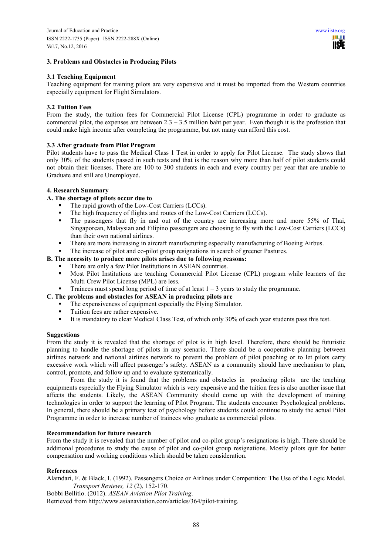### **3. Problems and Obstacles in Producing Pilots**

### **3.1 Teaching Equipment**

Teaching equipment for training pilots are very expensive and it must be imported from the Western countries especially equipment for Flight Simulators.

### **3.2 Tuition Fees**

From the study, the tuition fees for Commercial Pilot License (CPL) programme in order to graduate as commercial pilot, the expenses are between  $2.3 - 3.5$  million baht per year. Even though it is the profession that could make high income after completing the programme, but not many can afford this cost.

### **3.3 After graduate from Pilot Program**

Pilot students have to pass the Medical Class 1 Test in order to apply for Pilot License. The study shows that only 30% of the students passed in such tests and that is the reason why more than half of pilot students could not obtain their licenses. There are 100 to 300 students in each and every country per year that are unable to Graduate and still are Unemployed.

# **4. Research Summary**

## **A. The shortage of pilots occur due to**

- The rapid growth of the Low-Cost Carriers (LCCs).
- The high frequency of flights and routes of the Low-Cost Carriers (LCCs).
- The passengers that fly in and out of the country are increasing more and more 55% of Thai, Singaporean, Malaysian and Filipino passengers are choosing to fly with the Low-Cost Carriers (LCCs) than their own national airlines.
- There are more increasing in aircraft manufacturing especially manufacturing of Boeing Airbus.
- The increase of pilot and co-pilot group resignations in search of greener Pastures.

# **B. The necessity to produce more pilots arises due to following reasons:**

- There are only a few Pilot Institutions in ASEAN countries.
- Most Pilot Institutions are teaching Commercial Pilot License (CPL) program while learners of the Multi Crew Pilot License (MPL) are less.
- Trainees must spend long period of time of at least  $1 3$  years to study the programme.
- **C. The problems and obstacles for ASEAN in producing pilots are** 
	- The expensiveness of equipment especially the Flying Simulator.
	- Tuition fees are rather expensive.<br>• It is mandatory to clear Medical C
	- It is mandatory to clear Medical Class Test, of which only 30% of each year students pass this test.

#### **Suggestions**

From the study it is revealed that the shortage of pilot is in high level. Therefore, there should be futuristic planning to handle the shortage of pilots in any scenario. There should be a cooperative planning between airlines network and national airlines network to prevent the problem of pilot poaching or to let pilots carry excessive work which will affect passenger's safety. ASEAN as a community should have mechanism to plan, control, promote, and follow up and to evaluate systematically.

From the study it is found that the problems and obstacles in producing pilots are the teaching equipments especially the Flying Simulator which is very expensive and the tuition fees is also another issue that affects the students. Likely, the ASEAN Community should come up with the development of training technologies in order to support the learning of Pilot Program. The students encounter Psychological problems. In general, there should be a primary test of psychology before students could continue to study the actual Pilot Programme in order to increase number of trainees who graduate as commercial pilots.

### **Recommendation for future research**

From the study it is revealed that the number of pilot and co-pilot group's resignations is high. There should be additional procedures to study the cause of pilot and co-pilot group resignations. Mostly pilots quit for better compensation and working conditions which should be taken consideration.

#### **References**

Alamdari, F. & Black, I. (1992). Passengers Choice or Airlines under Competition: The Use of the Logic Model. *Transport Reviews, 12* (2), 152-170.

Bobbi Bellitlo. (2012). *ASEAN Aviation Pilot Training*.

Retrieved from http://www.asianaviation.com/articles/364/pilot-training.